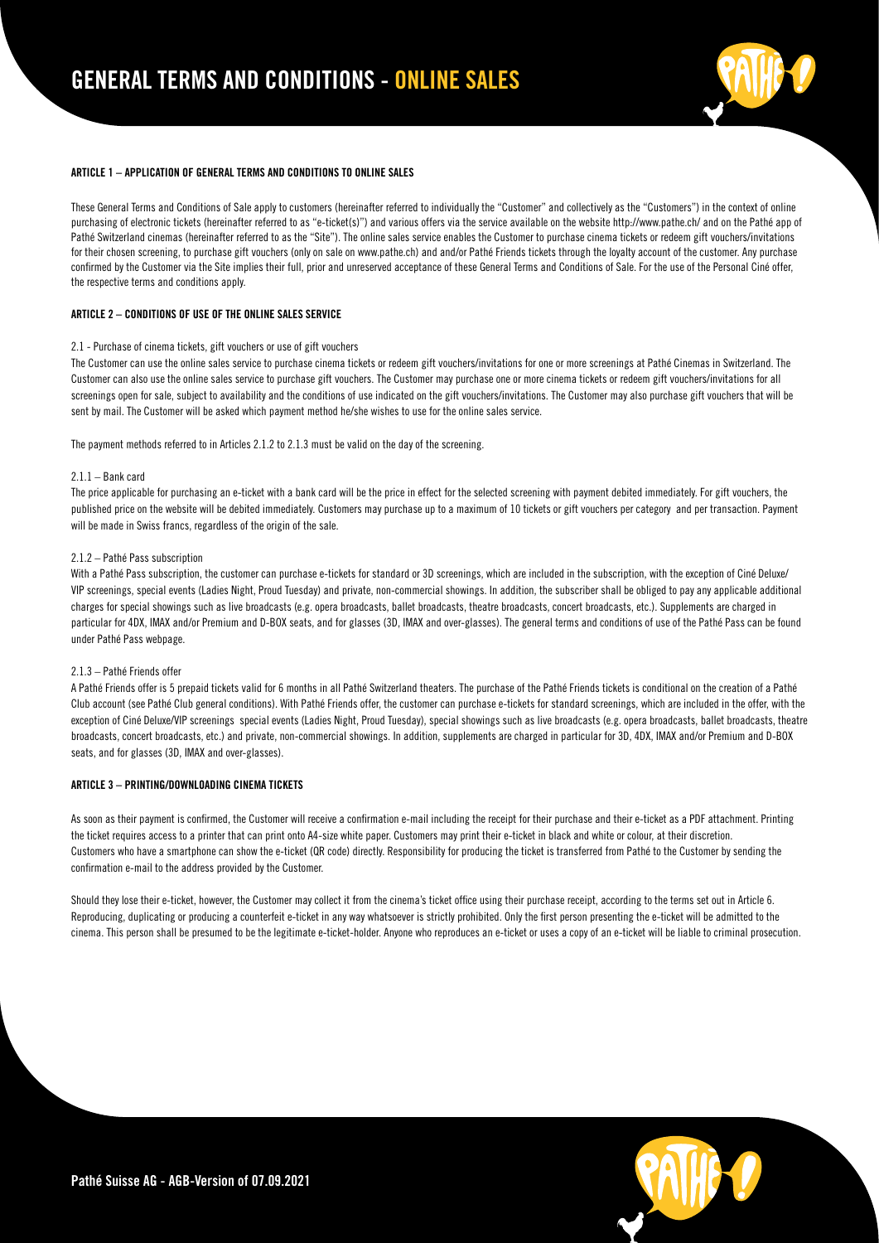

## ARTICLE 1 – APPLICATION OF GENERAL TERMS AND CONDITIONS TO ONLINE SALES

These General Terms and Conditions of Sale apply to customers (hereinafter referred to individually the "Customer" and collectively as the "Customers") in the context of online purchasing of electronic tickets (hereinafter referred to as "e-ticket(s)") and various offers via the service available on the website http://www.pathe.ch/ and on the Pathé app of Pathé Switzerland cinemas (hereinafter referred to as the "Site"). The online sales service enables the Customer to purchase cinema tickets or redeem gift vouchers/invitations for their chosen screening, to purchase gift vouchers (only on sale on www.pathe.ch) and and/or Pathé Friends tickets through the loyalty account of the customer. Any purchase confirmed by the Customer via the Site implies their full, prior and unreserved acceptance of these General Terms and Conditions of Sale. For the use of the Personal Ciné offer, the respective terms and conditions apply.

# ARTICLE 2 – CONDITIONS OF USE OF THE ONLINE SALES SERVICE

#### 2.1 - Purchase of cinema tickets, gift vouchers or use of gift vouchers

The Customer can use the online sales service to purchase cinema tickets or redeem gift vouchers/invitations for one or more screenings at Pathé Cinemas in Switzerland. The Customer can also use the online sales service to purchase gift vouchers. The Customer may purchase one or more cinema tickets or redeem gift vouchers/invitations for all screenings open for sale, subject to availability and the conditions of use indicated on the gift vouchers/invitations. The Customer may also purchase gift vouchers that will be sent by mail. The Customer will be asked which payment method he/she wishes to use for the online sales service.

The payment methods referred to in Articles 2.1.2 to 2.1.3 must be valid on the day of the screening.

## $2.1.1 -$ Bank card

The price applicable for purchasing an e-ticket with a bank card will be the price in effect for the selected screening with payment debited immediately. For gift vouchers, the published price on the website will be debited immediately. Customers may purchase up to a maximum of 10 tickets or gift vouchers per category and per transaction. Payment will be made in Swiss francs, regardless of the origin of the sale.

#### 2.1.2 – Pathé Pass subscription

With a Pathé Pass subscription, the customer can purchase e-tickets for standard or 3D screenings, which are included in the subscription, with the exception of Ciné Deluxe/ VIP screenings, special events (Ladies Night, Proud Tuesday) and private, non-commercial showings. In addition, the subscriber shall be obliged to pay any applicable additional charges for special showings such as live broadcasts (e.g. opera broadcasts, ballet broadcasts, theatre broadcasts, concert broadcasts, etc.). Supplements are charged in particular for 4DX, IMAX and/or Premium and D-BOX seats, and for glasses (3D, IMAX and over-glasses). The general terms and conditions of use of the Pathé Pass can be found under Pathé Pass webpage.

#### 2.1.3 – Pathé Friends offer

A Pathé Friends offer is 5 prepaid tickets valid for 6 months in all Pathé Switzerland theaters. The purchase of the Pathé Friends tickets is conditional on the creation of a Pathé Club account (see Pathé Club general conditions). With Pathé Friends offer, the customer can purchase e-tickets for standard screenings, which are included in the offer, with the exception of Ciné Deluxe/VIP screenings special events (Ladies Night, Proud Tuesday), special showings such as live broadcasts (e.g. opera broadcasts, ballet broadcasts, theatre broadcasts, concert broadcasts, etc.) and private, non-commercial showings. In addition, supplements are charged in particular for 3D, 4DX, IMAX and/or Premium and D-BOX seats, and for glasses (3D, IMAX and over-glasses).

#### ARTICLE 3 – PRINTING/DOWNLOADING CINEMA TICKETS

As soon as their payment is confirmed, the Customer will receive a confirmation e-mail including the receipt for their purchase and their e-ticket as a PDF attachment. Printing the ticket requires access to a printer that can print onto A4-size white paper. Customers may print their e-ticket in black and white or colour, at their discretion. Customers who have a smartphone can show the e-ticket (QR code) directly. Responsibility for producing the ticket is transferred from Pathé to the Customer by sending the confirmation e-mail to the address provided by the Customer.

Should they lose their e-ticket, however, the Customer may collect it from the cinema's ticket office using their purchase receipt, according to the terms set out in Article 6. Reproducing, duplicating or producing a counterfeit e-ticket in any way whatsoever is strictly prohibited. Only the first person presenting the e-ticket will be admitted to the cinema. This person shall be presumed to be the legitimate e-ticket-holder. Anyone who reproduces an e-ticket or uses a copy of an e-ticket will be liable to criminal prosecution.

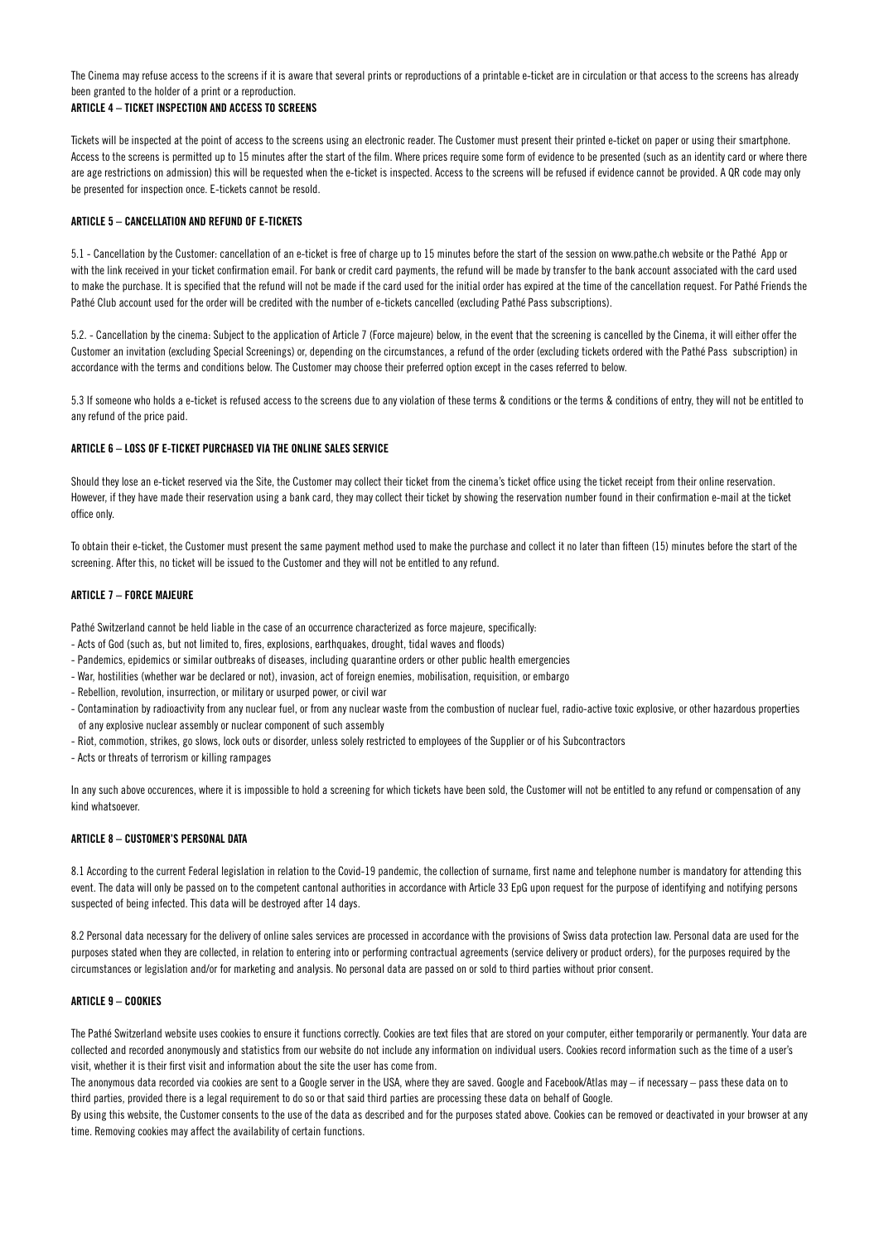The Cinema may refuse access to the screens if it is aware that several prints or reproductions of a printable e-ticket are in circulation or that access to the screens has already been granted to the holder of a print or a reproduction.

# ARTICLE 4 – TICKET INSPECTION AND ACCESS TO SCREENS

Tickets will be inspected at the point of access to the screens using an electronic reader. The Customer must present their printed e-ticket on paper or using their smartphone. Access to the screens is permitted up to 15 minutes after the start of the film. Where prices require some form of evidence to be presented (such as an identity card or where there are age restrictions on admission) this will be requested when the e-ticket is inspected. Access to the screens will be refused if evidence cannot be provided. A QR code may only be presented for inspection once. E-tickets cannot be resold.

# ARTICLE 5 – CANCELLATION AND REFUND OF E-TICKETS

5.1 - Cancellation by the Customer: cancellation of an e-ticket is free of charge up to 15 minutes before the start of the session on www.pathe.ch website or the Pathé App or with the link received in your ticket confirmation email. For bank or credit card payments, the refund will be made by transfer to the bank account associated with the card used to make the purchase. It is specified that the refund will not be made if the card used for the initial order has expired at the time of the cancellation request. For Pathé Friends the Pathé Club account used for the order will be credited with the number of e-tickets cancelled (excluding Pathé Pass subscriptions).

5.2. - Cancellation by the cinema: Subject to the application of Article 7 (Force majeure) below, in the event that the screening is cancelled by the Cinema, it will either offer the Customer an invitation (excluding Special Screenings) or, depending on the circumstances, a refund of the order (excluding tickets ordered with the Pathé Pass subscription) in accordance with the terms and conditions below. The Customer may choose their preferred option except in the cases referred to below.

5.3 If someone who holds a e-ticket is refused access to the screens due to any violation of these terms & conditions or the terms & conditions of entry, they will not be entitled to any refund of the price paid.

# ARTICLE 6 – LOSS OF E-TICKET PURCHASED VIA THE ONLINE SALES SERVICE

Should they lose an e-ticket reserved via the Site, the Customer may collect their ticket from the cinema's ticket office using the ticket receipt from their online reservation. However, if they have made their reservation using a bank card, they may collect their ticket by showing the reservation number found in their confirmation e-mail at the ticket office only.

To obtain their e-ticket, the Customer must present the same payment method used to make the purchase and collect it no later than fifteen (15) minutes before the start of the screening. After this, no ticket will be issued to the Customer and they will not be entitled to any refund.

# ARTICLE 7 – FORCE MAJEURE

Pathé Switzerland cannot be held liable in the case of an occurrence characterized as force majeure, specifically:

- Acts of God (such as, but not limited to, fires, explosions, earthquakes, drought, tidal waves and floods)
- Pandemics, epidemics or similar outbreaks of diseases, including quarantine orders or other public health emergencies
- War, hostilities (whether war be declared or not), invasion, act of foreign enemies, mobilisation, requisition, or embargo
- Rebellion, revolution, insurrection, or military or usurped power, or civil war
- Contamination by radioactivity from any nuclear fuel, or from any nuclear waste from the combustion of nuclear fuel, radio-active toxic explosive, or other hazardous properties of any explosive nuclear assembly or nuclear component of such assembly
- Riot, commotion, strikes, go slows, lock outs or disorder, unless solely restricted to employees of the Supplier or of his Subcontractors
- Acts or threats of terrorism or killing rampages

In any such above occurences, where it is impossible to hold a screening for which tickets have been sold, the Customer will not be entitled to any refund or compensation of any kind whatsoever.

# ARTICLE 8 – CUSTOMER'S PERSONAL DATA

8.1 According to the current Federal legislation in relation to the Covid-19 pandemic, the collection of surname, first name and telephone number is mandatory for attending this event. The data will only be passed on to the competent cantonal authorities in accordance with Article 33 EpG upon request for the purpose of identifying and notifying persons suspected of being infected. This data will be destroyed after 14 days.

8.2 Personal data necessary for the delivery of online sales services are processed in accordance with the provisions of Swiss data protection law. Personal data are used for the purposes stated when they are collected, in relation to entering into or performing contractual agreements (service delivery or product orders), for the purposes required by the circumstances or legislation and/or for marketing and analysis. No personal data are passed on or sold to third parties without prior consent.

# ARTICLE 9 – COOKIES

The Pathé Switzerland website uses cookies to ensure it functions correctly. Cookies are text files that are stored on your computer, either temporarily or permanently. Your data are collected and recorded anonymously and statistics from our website do not include any information on individual users. Cookies record information such as the time of a user's visit, whether it is their first visit and information about the site the user has come from.

The anonymous data recorded via cookies are sent to a Google server in the USA, where they are saved. Google and Facebook/Atlas may – if necessary – pass these data on to third parties, provided there is a legal requirement to do so or that said third parties are processing these data on behalf of Google.

By using this website, the Customer consents to the use of the data as described and for the purposes stated above. Cookies can be removed or deactivated in your browser at any time. Removing cookies may affect the availability of certain functions.